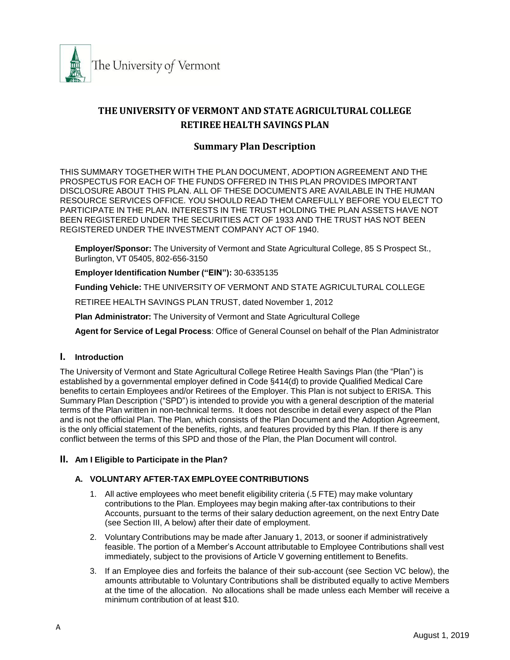

# **THE UNIVERSITY OF VERMONT AND STATE AGRICULTURAL COLLEGE RETIREE HEALTH SAVINGS PLAN**

# **Summary Plan Description**

THIS SUMMARY TOGETHER WITH THE PLAN DOCUMENT, ADOPTION AGREEMENT AND THE PROSPECTUS FOR EACH OF THE FUNDS OFFERED IN THIS PLAN PROVIDES IMPORTANT DISCLOSURE ABOUT THIS PLAN. ALL OF THESE DOCUMENTS ARE AVAILABLE IN THE HUMAN RESOURCE SERVICES OFFICE. YOU SHOULD READ THEM CAREFULLY BEFORE YOU ELECT TO PARTICIPATE IN THE PLAN. INTERESTS IN THE TRUST HOLDING THE PLAN ASSETS HAVE NOT BEEN REGISTERED UNDER THE SECURITIES ACT OF 1933 AND THE TRUST HAS NOT BEEN REGISTERED UNDER THE INVESTMENT COMPANY ACT OF 1940.

**Employer/Sponsor:** The University of Vermont and State Agricultural College, 85 S Prospect St., Burlington, VT 05405, 802-656-3150

**Employer Identification Number ("EIN"):** 30-6335135

**Funding Vehicle:** THE UNIVERSITY OF VERMONT AND STATE AGRICULTURAL COLLEGE

RETIREE HEALTH SAVINGS PLAN TRUST, dated November 1, 2012

**Plan Administrator:** The University of Vermont and State Agricultural College

**Agent for Service of Legal Process**: Office of General Counsel on behalf of the Plan Administrator

#### **I. Introduction**

The University of Vermont and State Agricultural College Retiree Health Savings Plan (the "Plan") is established by a governmental employer defined in Code §414(d) to provide Qualified Medical Care benefits to certain Employees and/or Retirees of the Employer. This Plan is not subject to ERISA. This Summary Plan Description ("SPD") is intended to provide you with a general description of the material terms of the Plan written in non-technical terms. It does not describe in detail every aspect of the Plan and is not the official Plan. The Plan, which consists of the Plan Document and the Adoption Agreement, is the only official statement of the benefits, rights, and features provided by this Plan. If there is any conflict between the terms of this SPD and those of the Plan, the Plan Document will control.

#### **II. Am I Eligible to Participate in the Plan?**

#### **A. VOLUNTARY AFTER-TAX EMPLOYEE CONTRIBUTIONS**

- 1. All active employees who meet benefit eligibility criteria (.5 FTE) may make voluntary contributions to the Plan. Employees may begin making after-tax contributions to their Accounts, pursuant to the terms of their salary deduction agreement, on the next Entry Date (see Section III, A below) after their date of employment.
- 2. Voluntary Contributions may be made after January 1, 2013, or sooner if administratively feasible. The portion of a Member's Account attributable to Employee Contributions shall vest immediately, subject to the provisions of Article V governing entitlement to Benefits.
- 3. If an Employee dies and forfeits the balance of their sub-account (see Section VC below), the amounts attributable to Voluntary Contributions shall be distributed equally to active Members at the time of the allocation. No allocations shall be made unless each Member will receive a minimum contribution of at least \$10.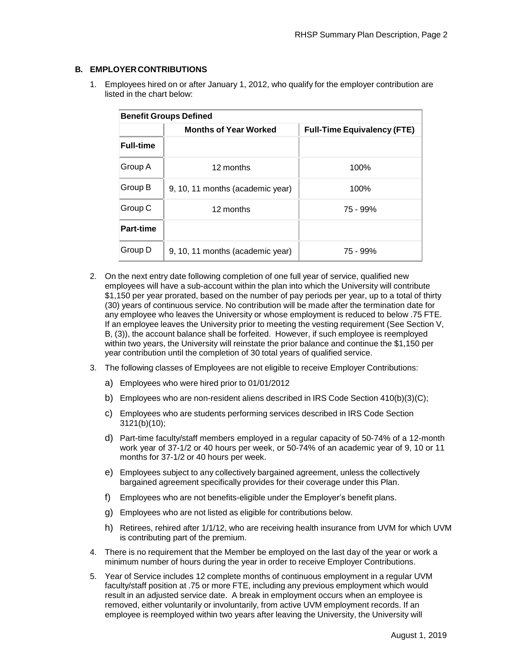### **B. EMPLOYERCONTRIBUTIONS**

1. Employees hired on or after January 1, 2012, who qualify for the employer contribution are listed in the chart below:

| <b>Benefit Groups Defined</b> |                                  |                                    |  |
|-------------------------------|----------------------------------|------------------------------------|--|
|                               | <b>Months of Year Worked</b>     | <b>Full-Time Equivalency (FTE)</b> |  |
| <b>Full-time</b>              |                                  |                                    |  |
| Group A                       | 12 months                        | 100%                               |  |
| Group B                       | 9, 10, 11 months (academic year) | 100%                               |  |
| Group C                       | 12 months                        | 75 - 99%                           |  |
| <b>Part-time</b>              |                                  |                                    |  |
| Group D                       | 9, 10, 11 months (academic year) | 75 - 99%                           |  |

- 2. On the next entry date following completion of one full year of service, qualified new employees will have a sub-account within the plan into which the University will contribute \$1,150 per year prorated, based on the number of pay periods per year, up to a total of thirty (30) years of continuous service. No contribution will be made after the termination date for any employee who leaves the University or whose employment is reduced to below .75 FTE. If an employee leaves the University prior to meeting the vesting requirement (See Section V, B, (3)), the account balance shall be forfeited. However, if such employee is reemployed within two years, the University will reinstate the prior balance and continue the \$1,150 per year contribution until the completion of 30 total years of qualified service.
- 3. The following classes of Employees are not eligible to receive Employer Contributions:
	- a) Employees who were hired prior to 01/01/2012
	- b) Employees who are non-resident aliens described in IRS Code Section 410(b)(3)(C);
	- c) Employees who are students performing services described in IRS Code Section 3121(b)(10);
	- d) Part-time faculty/staff members employed in a regular capacity of 50-74% of a 12-month work year of 37-1/2 or 40 hours per week, or 50-74% of an academic year of 9, 10 or 11 months for 37-1/2 or 40 hours per week.
	- e) Employees subject to any collectively bargained agreement, unless the collectively bargained agreement specifically provides for their coverage under this Plan.
	- f) Employees who are not benefits-eligible under the Employer's benefit plans.
	- g) Employees who are not listed as eligible for contributions below.
	- h) Retirees, rehired after 1/1/12, who are receiving health insurance from UVM for which UVM is contributing part of the premium.
- 4. There is no requirement that the Member be employed on the last day of the year or work a minimum number of hours during the year in order to receive Employer Contributions.
- 5. Year of Service includes 12 complete months of continuous employment in a regular UVM faculty/staff position at .75 or more FTE, including any previous employment which would result in an adjusted service date. A break in employment occurs when an employee is removed, either voluntarily or involuntarily, from active UVM employment records. If an employee is reemployed within two years after leaving the University, the University will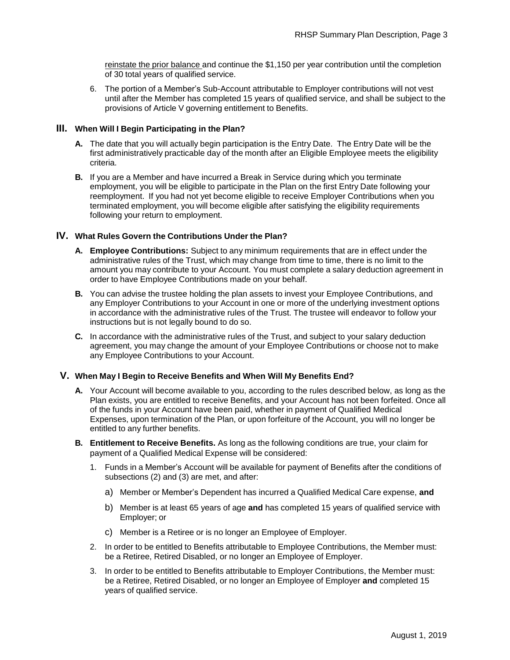reinstate the prior balance and continue the \$1,150 per year contribution until the completion of 30 total years of qualified service.

6. The portion of a Member's Sub-Account attributable to Employer contributions will not vest until after the Member has completed 15 years of qualified service, and shall be subject to the provisions of Article V governing entitlement to Benefits.

#### **III. When Will I Begin Participating in the Plan?**

- **A.** The date that you will actually begin participation is the Entry Date. The Entry Date will be the first administratively practicable day of the month after an Eligible Employee meets the eligibility criteria.
- **B.** If you are a Member and have incurred a Break in Service during which you terminate employment, you will be eligible to participate in the Plan on the first Entry Date following your reemployment. If you had not yet become eligible to receive Employer Contributions when you terminated employment, you will become eligible after satisfying the eligibility requirements following your return to employment.

#### **IV. What Rules Govern the Contributions Under the Plan?**

- **A. Employee Contributions:** Subject to any minimum requirements that are in effect under the administrative rules of the Trust, which may change from time to time, there is no limit to the amount you may contribute to your Account. You must complete a salary deduction agreement in order to have Employee Contributions made on your behalf.
- **B.** You can advise the trustee holding the plan assets to invest your Employee Contributions, and any Employer Contributions to your Account in one or more of the underlying investment options in accordance with the administrative rules of the Trust. The trustee will endeavor to follow your instructions but is not legally bound to do so.
- **C.** In accordance with the administrative rules of the Trust, and subject to your salary deduction agreement, you may change the amount of your Employee Contributions or choose not to make any Employee Contributions to your Account.

#### **V. When May I Begin to Receive Benefits and When Will My Benefits End?**

- **A.** Your Account will become available to you, according to the rules described below, as long as the Plan exists, you are entitled to receive Benefits, and your Account has not been forfeited. Once all of the funds in your Account have been paid, whether in payment of Qualified Medical Expenses, upon termination of the Plan, or upon forfeiture of the Account, you will no longer be entitled to any further benefits.
- **B. Entitlement to Receive Benefits.** As long as the following conditions are true, your claim for payment of a Qualified Medical Expense will be considered:
	- 1. Funds in a Member's Account will be available for payment of Benefits after the conditions of subsections (2) and (3) are met, and after:
		- a) Member or Member's Dependent has incurred a Qualified Medical Care expense, **and**
		- b) Member is at least 65 years of age **and** has completed 15 years of qualified service with Employer; or
		- c) Member is a Retiree or is no longer an Employee of Employer.
	- 2. In order to be entitled to Benefits attributable to Employee Contributions, the Member must: be a Retiree, Retired Disabled, or no longer an Employee of Employer.
	- 3. In order to be entitled to Benefits attributable to Employer Contributions, the Member must: be a Retiree, Retired Disabled, or no longer an Employee of Employer **and** completed 15 years of qualified service.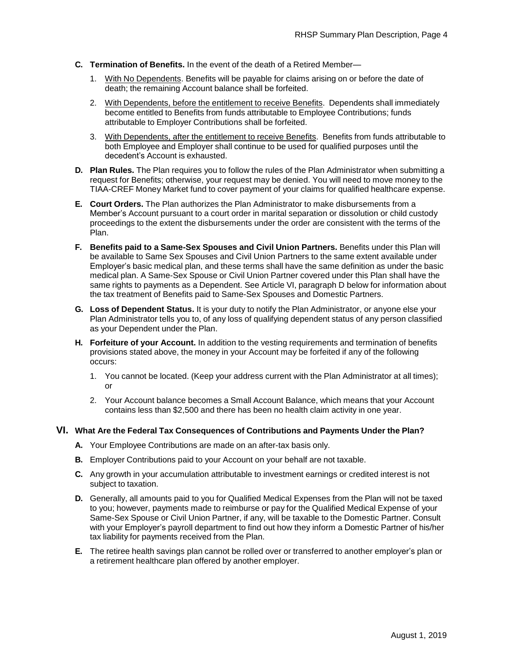- **C. Termination of Benefits.** In the event of the death of a Retired Member—
	- 1. With No Dependents. Benefits will be payable for claims arising on or before the date of death; the remaining Account balance shall be forfeited.
	- 2. With Dependents, before the entitlement to receive Benefits. Dependents shall immediately become entitled to Benefits from funds attributable to Employee Contributions; funds attributable to Employer Contributions shall be forfeited.
	- 3. With Dependents, after the entitlement to receive Benefits. Benefits from funds attributable to both Employee and Employer shall continue to be used for qualified purposes until the decedent's Account is exhausted.
- **D. Plan Rules.** The Plan requires you to follow the rules of the Plan Administrator when submitting a request for Benefits; otherwise, your request may be denied. You will need to move money to the TIAA-CREF Money Market fund to cover payment of your claims for qualified healthcare expense.
- **E. Court Orders.** The Plan authorizes the Plan Administrator to make disbursements from a Member's Account pursuant to a court order in marital separation or dissolution or child custody proceedings to the extent the disbursements under the order are consistent with the terms of the Plan.
- **F. Benefits paid to a Same-Sex Spouses and Civil Union Partners.** Benefits under this Plan will be available to Same Sex Spouses and Civil Union Partners to the same extent available under Employer's basic medical plan, and these terms shall have the same definition as under the basic medical plan. A Same-Sex Spouse or Civil Union Partner covered under this Plan shall have the same rights to payments as a Dependent. See Article VI, paragraph D below for information about the tax treatment of Benefits paid to Same-Sex Spouses and Domestic Partners.
- **G. Loss of Dependent Status.** It is your duty to notify the Plan Administrator, or anyone else your Plan Administrator tells you to, of any loss of qualifying dependent status of any person classified as your Dependent under the Plan.
- **H. Forfeiture of your Account.** In addition to the vesting requirements and termination of benefits provisions stated above, the money in your Account may be forfeited if any of the following occurs:
	- 1. You cannot be located. (Keep your address current with the Plan Administrator at all times); or
	- 2. Your Account balance becomes a Small Account Balance, which means that your Account contains less than \$2,500 and there has been no health claim activity in one year.

#### **VI. What Are the Federal Tax Consequences of Contributions and Payments Under the Plan?**

- **A.** Your Employee Contributions are made on an after-tax basis only.
- **B.** Employer Contributions paid to your Account on your behalf are not taxable.
- **C.** Any growth in your accumulation attributable to investment earnings or credited interest is not subject to taxation.
- **D.** Generally, all amounts paid to you for Qualified Medical Expenses from the Plan will not be taxed to you; however, payments made to reimburse or pay for the Qualified Medical Expense of your Same-Sex Spouse or Civil Union Partner, if any, will be taxable to the Domestic Partner. Consult with your Employer's payroll department to find out how they inform a Domestic Partner of his/her tax liability for payments received from the Plan.
- **E.** The retiree health savings plan cannot be rolled over or transferred to another employer's plan or a retirement healthcare plan offered by another employer.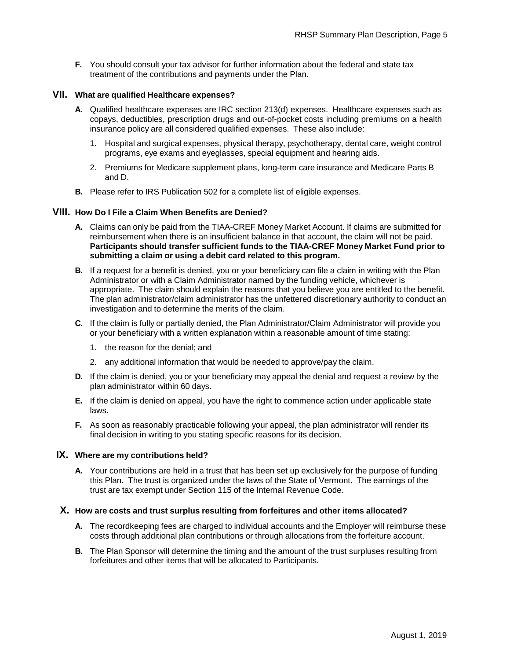**F.** You should consult your tax advisor for further information about the federal and state tax treatment of the contributions and payments under the Plan.

#### **VII. What are qualified Healthcare expenses?**

- **A.** Qualified healthcare expenses are IRC section 213(d) expenses. Healthcare expenses such as copays, deductibles, prescription drugs and out-of-pocket costs including premiums on a health insurance policy are all considered qualified expenses. These also include:
	- 1. Hospital and surgical expenses, physical therapy, psychotherapy, dental care, weight control programs, eye exams and eyeglasses, special equipment and hearing aids.
	- 2. Premiums for Medicare supplement plans, long-term care insurance and Medicare Parts B and D.
- **B.** Please refer to IRS Publication 502 for a complete list of eligible expenses.

#### **VIII. How Do I File a Claim When Benefits are Denied?**

- **A.** Claims can only be paid from the TIAA-CREF Money Market Account. If claims are submitted for reimbursement when there is an insufficient balance in that account, the claim will not be paid. **Participants should transfer sufficient funds to the TIAA-CREF Money Market Fund prior to submitting a claim or using a debit card related to this program.**
- **B.** If a request for a benefit is denied, you or your beneficiary can file a claim in writing with the Plan Administrator or with a Claim Administrator named by the funding vehicle, whichever is appropriate. The claim should explain the reasons that you believe you are entitled to the benefit. The plan administrator/claim administrator has the unfettered discretionary authority to conduct an investigation and to determine the merits of the claim.
- **C.** If the claim is fully or partially denied, the Plan Administrator/Claim Administrator will provide you or your beneficiary with a written explanation within a reasonable amount of time stating:
	- 1. the reason for the denial; and
	- 2. any additional information that would be needed to approve/pay the claim.
- **D.** If the claim is denied, you or your beneficiary may appeal the denial and request a review by the plan administrator within 60 days.
- **E.** If the claim is denied on appeal, you have the right to commence action under applicable state laws.
- **F.** As soon as reasonably practicable following your appeal, the plan administrator will render its final decision in writing to you stating specific reasons for its decision.

#### **IX. Where are my contributions held?**

**A.** Your contributions are held in a trust that has been set up exclusively for the purpose of funding this Plan. The trust is organized under the laws of the State of Vermont. The earnings of the trust are tax exempt under Section 115 of the Internal Revenue Code.

#### **X. How are costs and trust surplus resulting from forfeitures and other items allocated?**

- **A.** The recordkeeping fees are charged to individual accounts and the Employer will reimburse these costs through additional plan contributions or through allocations from the forfeiture account.
- **B.** The Plan Sponsor will determine the timing and the amount of the trust surpluses resulting from forfeitures and other items that will be allocated to Participants.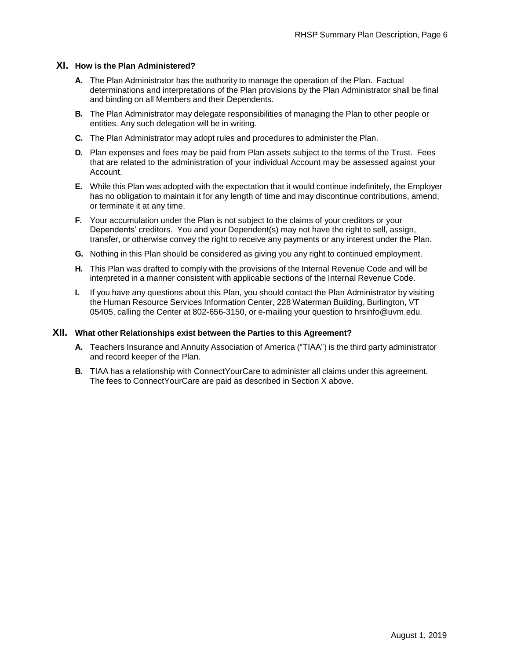#### **XI. How is the Plan Administered?**

- **A.** The Plan Administrator has the authority to manage the operation of the Plan. Factual determinations and interpretations of the Plan provisions by the Plan Administrator shall be final and binding on all Members and their Dependents.
- **B.** The Plan Administrator may delegate responsibilities of managing the Plan to other people or entities. Any such delegation will be in writing.
- **C.** The Plan Administrator may adopt rules and procedures to administer the Plan.
- **D.** Plan expenses and fees may be paid from Plan assets subject to the terms of the Trust. Fees that are related to the administration of your individual Account may be assessed against your Account.
- **E.** While this Plan was adopted with the expectation that it would continue indefinitely, the Employer has no obligation to maintain it for any length of time and may discontinue contributions, amend, or terminate it at any time.
- **F.** Your accumulation under the Plan is not subject to the claims of your creditors or your Dependents' creditors. You and your Dependent(s) may not have the right to sell, assign, transfer, or otherwise convey the right to receive any payments or any interest under the Plan.
- **G.** Nothing in this Plan should be considered as giving you any right to continued employment.
- **H.** This Plan was drafted to comply with the provisions of the Internal Revenue Code and will be interpreted in a manner consistent with applicable sections of the Internal Revenue Code.
- **I.** If you have any questions about this Plan, you should contact the Plan Administrator by visiting the Human Resource Services Information Center, 228 Waterman Building, Burlington, VT 05405, calling the Center at 802-656-3150, or e-mailing your question to [hrsinfo@uvm.edu.](mailto:hrsinfo@uvm.edu)

#### **XII. What other Relationships exist between the Parties to this Agreement?**

- **A.** Teachers Insurance and Annuity Association of America ("TIAA") is the third party administrator and record keeper of the Plan.
- **B.** TIAA has a relationship with ConnectYourCare to administer all claims under this agreement. The fees to ConnectYourCare are paid as described in Section X above.